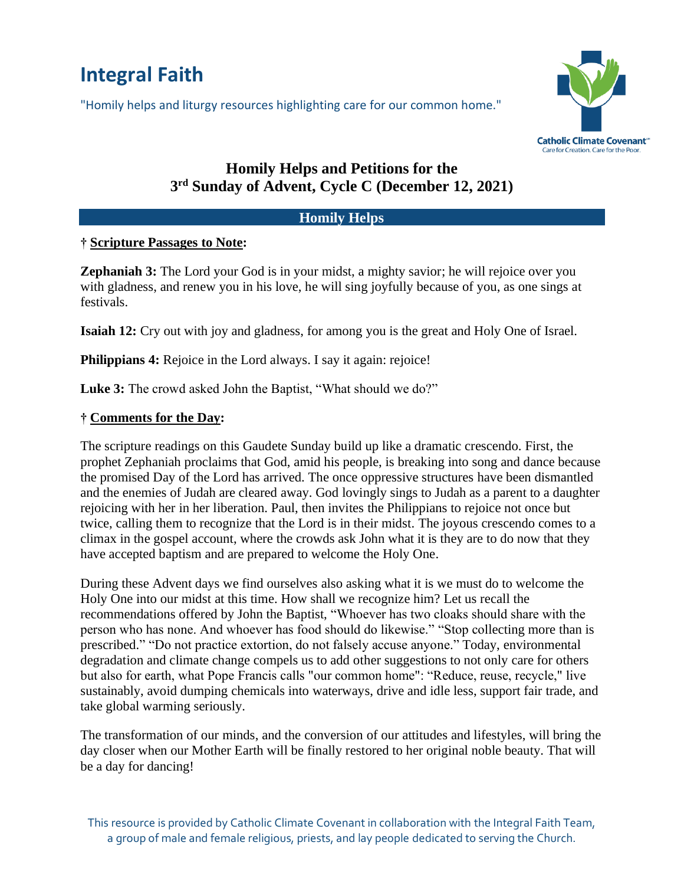# **Integral Faith**

"Homily helps and liturgy resources highlighting care for our common home."



# **Homily Helps and Petitions for the 3 rd Sunday of Advent, Cycle C (December 12, 2021)**

# **Homily Helps**

# **† Scripture Passages to Note:**

**Zephaniah 3:** The Lord your God is in your midst, a mighty savior; he will rejoice over you with gladness, and renew you in his love, he will sing joyfully because of you, as one sings at festivals.

**Isaiah 12:** Cry out with joy and gladness, for among you is the great and Holy One of Israel.

**Philippians 4:** Rejoice in the Lord always. I say it again: rejoice!

**Luke 3:** The crowd asked John the Baptist, "What should we do?"

## **† Comments for the Day:**

The scripture readings on this Gaudete Sunday build up like a dramatic crescendo. First, the prophet Zephaniah proclaims that God, amid his people, is breaking into song and dance because the promised Day of the Lord has arrived. The once oppressive structures have been dismantled and the enemies of Judah are cleared away. God lovingly sings to Judah as a parent to a daughter rejoicing with her in her liberation. Paul, then invites the Philippians to rejoice not once but twice, calling them to recognize that the Lord is in their midst. The joyous crescendo comes to a climax in the gospel account, where the crowds ask John what it is they are to do now that they have accepted baptism and are prepared to welcome the Holy One.

During these Advent days we find ourselves also asking what it is we must do to welcome the Holy One into our midst at this time. How shall we recognize him? Let us recall the recommendations offered by John the Baptist, "Whoever has two cloaks should share with the person who has none. And whoever has food should do likewise." "Stop collecting more than is prescribed." "Do not practice extortion, do not falsely accuse anyone." Today, environmental degradation and climate change compels us to add other suggestions to not only care for others but also for earth, what Pope Francis calls "our common home": "Reduce, reuse, recycle," live sustainably, avoid dumping chemicals into waterways, drive and idle less, support fair trade, and take global warming seriously.

The transformation of our minds, and the conversion of our attitudes and lifestyles, will bring the day closer when our Mother Earth will be finally restored to her original noble beauty. That will be a day for dancing!

This resource is provided by Catholic Climate Covenant in collaboration with the Integral Faith Team, a group of male and female religious, priests, and lay people dedicated to serving the Church.